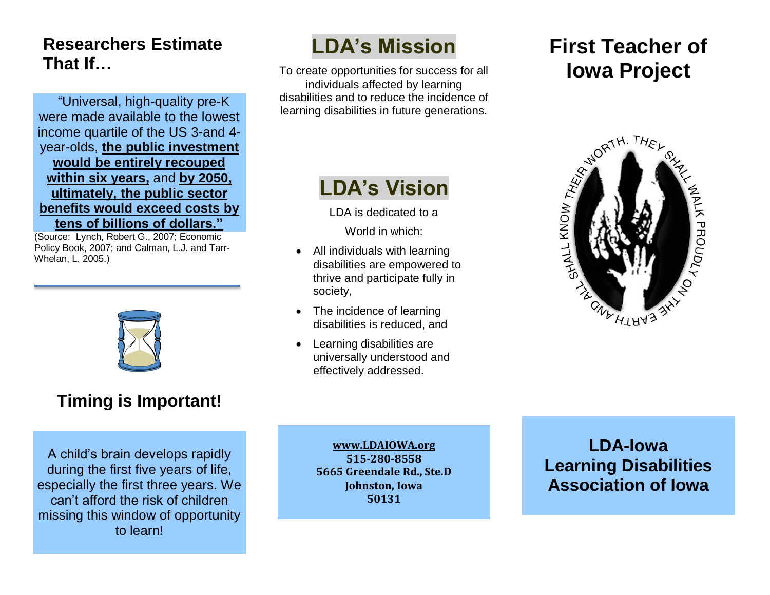### **Researchers Estimate That If…**

"Universal, high-quality pre-K were made available to the lowest income quartile of the US 3-and 4 year-olds, **the public investment would be entirely recouped within six years,** and **by 2050, ultimately, the public sector benefits would exceed costs by tens of billions of dollars."**

(Source: Lynch, Robert G., 2007; Economic Policy Book, 2007; and Calman, L.J. and Tarr-Whelan, L. 2005.)



### **Timing is Important!**

A child's brain develops rapidly during the first five years of life, especially the first three years. We can't afford the risk of children missing this window of opportunity to learn!

# **LDA's Mission**

To create opportunities for success for all individuals affected by learning disabilities and to reduce the incidence of learning disabilities in future generations.

## **LDA's Vision**

LDA is dedicated to a World in which:

- All individuals with learning disabilities are empowered to thrive and participate fully in society,
- The incidence of learning disabilities is reduced, and
- Learning disabilities are universally understood and effectively addressed.

# **First Teacher of Iowa Project**



**[www.LDAIOWA.org](http://www.ldaiowa.org/) 515-280-8558 5665 Greendale Rd., Ste.D Johnston, Iowa 50131**

**LDA-Iowa Learning Disabilities Association of Iowa**